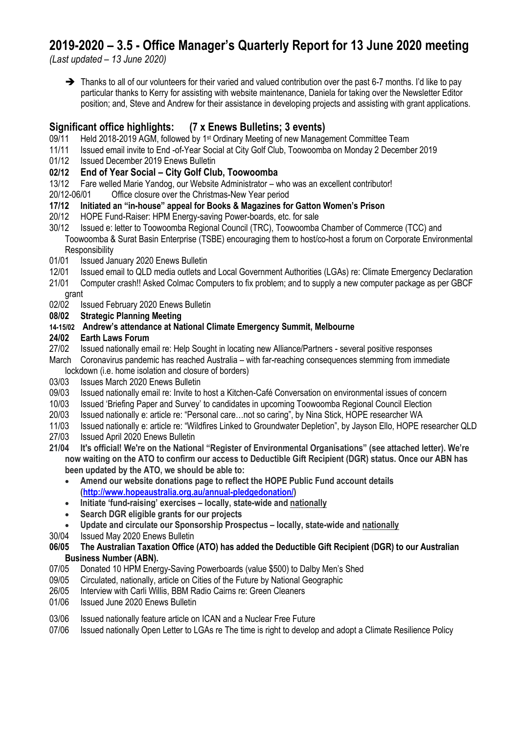## **2019-2020 – 3.5 - Office Manager's Quarterly Report for 13 June 2020 meeting**

*(Last updated – 13 June 2020)*

➔ Thanks to all of our volunteers for their varied and valued contribution over the past 6-7 months. I'd like to pay particular thanks to Kerry for assisting with website maintenance, Daniela for taking over the Newsletter Editor position; and, Steve and Andrew for their assistance in developing projects and assisting with grant applications.

## **Significant office highlights: (7 x Enews Bulletins; 3 events)**

- 09/11 Held 2018-2019 AGM, followed by 1<sup>st</sup> Ordinary Meeting of new Management Committee Team
- 11/11 Issued email invite to End -of-Year Social at City Golf Club, Toowoomba on Monday 2 December 2019<br>01/12 Issued December 2019 Enews Bulletin
- Issued December 2019 Enews Bulletin

## **02/12 End of Year Social – City Golf Club, Toowoomba**

- 13/12 Fare welled Marie Yandog, our Website Administrator who was an excellent contributor!
- 20/12-06/01 Office closure over the Christmas-New Year period
- **17/12 Initiated an "in-house" appeal for Books & Magazines for Gatton Women's Prison**
- 20/12 HOPE Fund-Raiser: HPM Energy-saving Power-boards, etc. for sale
- 30/12 Issued e: letter to Toowoomba Regional Council (TRC), Toowoomba Chamber of Commerce (TCC) and Toowoomba & Surat Basin Enterprise (TSBE) encouraging them to host/co-host a forum on Corporate Environmental **Responsibility**
- 01/01 Issued January 2020 Enews Bulletin
- 12/01 Issued email to QLD media outlets and Local Government Authorities (LGAs) re: Climate Emergency Declaration
- 21/01 Computer crash!! Asked Colmac Computers to fix problem; and to supply a new computer package as per GBCF grant
- 02/02 Issued February 2020 Enews Bulletin

#### **08/02 Strategic Planning Meeting**

**14-15/02 Andrew's attendance at National Climate Emergency Summit, Melbourne**

#### **24/02 Earth Laws Forum**

- 27/02 Issued nationally email re: Help Sought in locating new Alliance/Partners several positive responses
- March Coronavirus pandemic has reached Australia with far-reaching consequences stemming from immediate lockdown (i.e. home isolation and closure of borders)
- 03/03 Issues March 2020 Enews Bulletin
- 09/03 Issued nationally email re: Invite to host a Kitchen-Café Conversation on environmental issues of concern
- 10/03 Issued 'Briefing Paper and Survey' to candidates in upcoming Toowoomba Regional Council Election
- 20/03 Issued nationally e: article re: "Personal care…not so caring", by Nina Stick, HOPE researcher WA
- 11/03 Issued nationally e: article re: "Wildfires Linked to Groundwater Depletion", by Jayson Ello, HOPE researcher QLD
- 27/03 Issued April 2020 Enews Bulletin
- **21/04 It's official! We're on the National "Register of Environmental Organisations" (see attached letter). We're now waiting on the ATO to confirm our access to Deductible Gift Recipient (DGR) status. Once our ABN has been updated by the ATO, we should be able to:**
	- **Amend our website donations page to reflect the HOPE Public Fund account details [\(http://www.hopeaustralia.org.au/annual-pledgedonation/\)](http://www.hopeaustralia.org.au/annual-pledgedonation/)**
	- **Initiate 'fund-raising' exercises – locally, state-wide and nationally**
	- **Search DGR eligible grants for our projects**
	- **Update and circulate our Sponsorship Prospectus – locally, state-wide and nationally**
- 30/04 Issued May 2020 Enews Bulletin

#### **06/05 The Australian Taxation Office (ATO) has added the Deductible Gift Recipient (DGR) to our Australian Business Number (ABN).**

- 07/05 Donated 10 HPM Energy-Saving Powerboards (value \$500) to Dalby Men's Shed
- 09/05 Circulated, nationally, article on Cities of the Future by National Geographic
- 26/05 Interview with Carli Willis, BBM Radio Cairns re: Green Cleaners
- 01/06 Issued June 2020 Enews Bulletin
- 03/06 Issued nationally feature article on ICAN and a Nuclear Free Future
- 07/06 Issued nationally Open Letter to LGAs re The time is right to develop and adopt a Climate Resilience Policy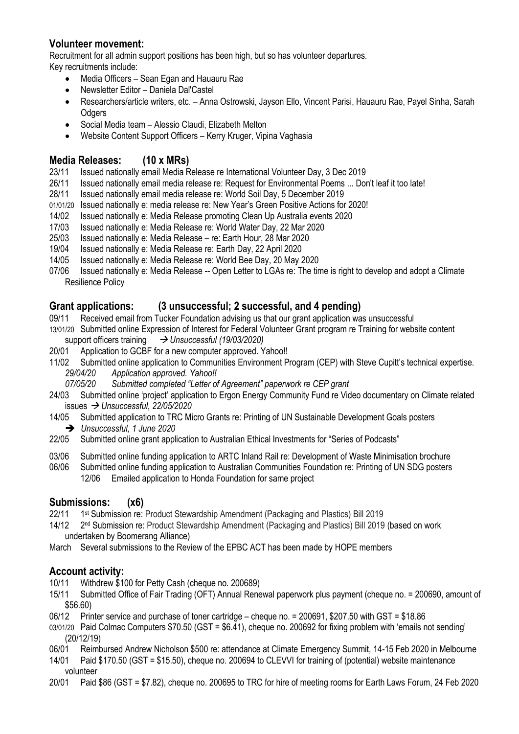## **Volunteer movement:**

Recruitment for all admin support positions has been high, but so has volunteer departures.

Key recruitments include:

- Media Officers Sean Egan and Hauauru Rae
- Newsletter Editor Daniela Dal'Castel
- Researchers/article writers, etc. Anna Ostrowski, Jayson Ello, Vincent Parisi, Hauauru Rae, Payel Sinha, Sarah **Odgers**
- Social Media team Alessio Claudi, Elizabeth Melton
- Website Content Support Officers Kerry Kruger, Vipina Vaghasia

## **Media Releases: (10 x MRs)**

- 23/11 Issued nationally email Media Release re International Volunteer Day, 3 Dec 2019
- 26/11 Issued nationally email media release re: Request for Environmental Poems ... Don't leaf it too late!
- 28/11 Issued nationally email media release re: World Soil Day, 5 December 2019
- 01/01/20 Issued nationally e: media release re: New Year's Green Positive Actions for 2020!
- 14/02 Issued nationally e: Media Release promoting Clean Up Australia events 2020
- 17/03 Issued nationally e: Media Release re: World Water Day, 22 Mar 2020
- 25/03 Issued nationally e: Media Release re: Earth Hour, 28 Mar 2020
- 19/04 Issued nationally e: Media Release re: Earth Day, 22 April 2020
- 14/05 Issued nationally e: Media Release re: World Bee Day, 20 May 2020
- 07/06 Issued nationally e: Media Release -- Open Letter to LGAs re: The time is right to develop and adopt a Climate Resilience Policy

## **Grant applications: (3 unsuccessful; 2 successful, and 4 pending)**

- 09/11 Received email from Tucker Foundation advising us that our grant application was unsuccessful
- 13/01/20 Submitted online Expression of Interest for Federal Volunteer Grant program re Training for website content support officers training → *Unsuccessful (19/03/2020)*
- 20/01 Application to GCBF for a new computer approved. Yahoo!!<br>11/02 Submitted online application to Communities Environment P
- Submitted online application to Communities Environment Program (CEP) with Steve Cupitt's technical expertise. *29/04/20 Application approved. Yahoo!!*
	- *07/05/20 Submitted completed "Letter of Agreement" paperwork re CEP grant*
- 24/03 Submitted online 'project' application to Ergon Energy Community Fund re Video documentary on Climate related issues → *Unsuccessful, 22/05/2020*
- 14/05 Submitted application to TRC Micro Grants re: Printing of UN Sustainable Development Goals posters ➔ *Unsuccessful, 1 June 2020*
- 22/05 Submitted online grant application to Australian Ethical Investments for "Series of Podcasts"
- 03/06 Submitted online funding application to ARTC Inland Rail re: Development of Waste Minimisation brochure
- 06/06 Submitted online funding application to Australian Communities Foundation re: Printing of UN SDG posters 12/06 Emailed application to Honda Foundation for same project

## **Submissions: (x6)**

- 22/11 1<sup>st</sup> Submission re: Product Stewardship Amendment (Packaging and Plastics) Bill 2019
- 14/12 2<sup>nd</sup> Submission re: Product Stewardship Amendment (Packaging and Plastics) Bill 2019 (based on work undertaken by Boomerang Alliance)
- March Several submissions to the Review of the EPBC ACT has been made by HOPE members

## **Account activity:**

- 10/11 Withdrew \$100 for Petty Cash (cheque no. 200689)
- 15/11 Submitted Office of Fair Trading (OFT) Annual Renewal paperwork plus payment (cheque no. = 200690, amount of \$56.60)
- 06/12 Printer service and purchase of toner cartridge cheque no. = 200691, \$207.50 with GST = \$18.86
- 03/01/20 Paid Colmac Computers \$70.50 (GST = \$6.41), cheque no. 200692 for fixing problem with 'emails not sending' (20/12/19)
- 06/01 Reimbursed Andrew Nicholson \$500 re: attendance at Climate Emergency Summit, 14-15 Feb 2020 in Melbourne
- 14/01 Paid \$170.50 (GST = \$15.50), cheque no. 200694 to CLEVVI for training of (potential) website maintenance volunteer
- 20/01 Paid \$86 (GST = \$7.82), cheque no. 200695 to TRC for hire of meeting rooms for Earth Laws Forum, 24 Feb 2020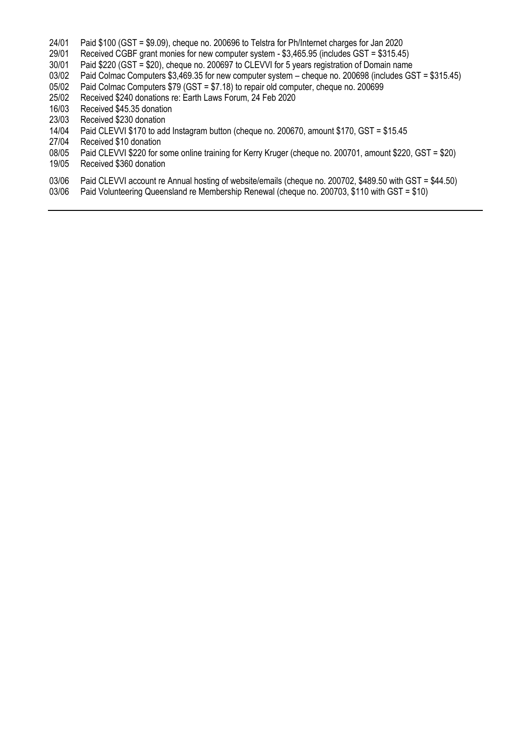- 24/01 Paid \$100 (GST = \$9.09), cheque no. 200696 to Telstra for Ph/Internet charges for Jan 2020
- 29/01 Received CGBF grant monies for new computer system \$3,465.95 (includes GST = \$315.45)

Paid \$220 (GST = \$20), cheque no. 200697 to CLEVVI for 5 years registration of Domain name

- 03/02 Paid Colmac Computers \$3,469.35 for new computer system cheque no. 200698 (includes GST = \$315.45)
- 05/02 Paid Colmac Computers \$79 (GST = \$7.18) to repair old computer, cheque no. 200699
- 25/02 Received \$240 donations re: Earth Laws Forum, 24 Feb 2020
- 16/03 Received \$45.35 donation
- 23/03 Received \$230 donation<br>14/04 Paid CLEVVI \$170 to add
- Paid CLEVVI \$170 to add Instagram button (cheque no. 200670, amount \$170, GST = \$15.45
- 27/04 Received \$10 donation
- 08/05 Paid CLEVVI \$220 for some online training for Kerry Kruger (cheque no. 200701, amount \$220, GST = \$20)
- 19/05 Received \$360 donation
- 03/06 Paid CLEVVI account re Annual hosting of website/emails (cheque no. 200702, \$489.50 with GST = \$44.50)
- 03/06 Paid Volunteering Queensland re Membership Renewal (cheque no. 200703, \$110 with GST = \$10)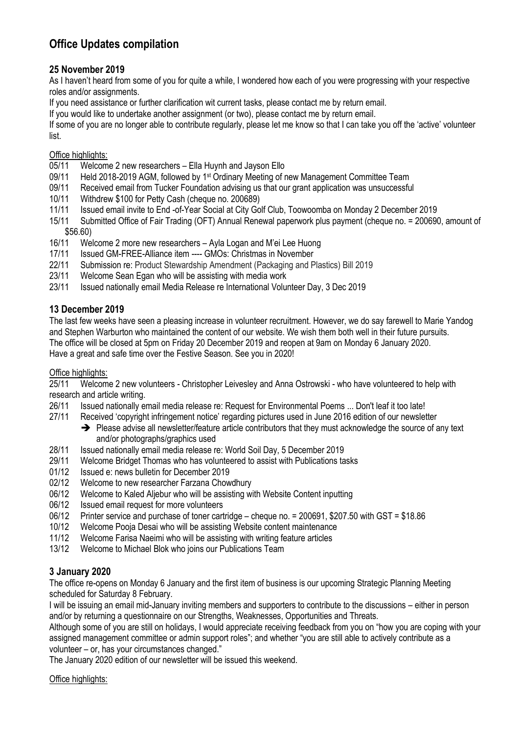## **Office Updates compilation**

## **25 November 2019**

As I haven't heard from some of you for quite a while, I wondered how each of you were progressing with your respective roles and/or assignments.

If you need assistance or further clarification wit current tasks, please contact me by return email.

If you would like to undertake another assignment (or two), please contact me by return email.

If some of you are no longer able to contribute regularly, please let me know so that I can take you off the 'active' volunteer list.

## Office highlights:

- 05/11 Welcome 2 new researchers Ella Huynh and Jayson Ello
- 09/11 Held 2018-2019 AGM, followed by 1<sup>st</sup> Ordinary Meeting of new Management Committee Team
- 09/11 Received email from Tucker Foundation advising us that our grant application was unsuccessful
- 10/11 Withdrew \$100 for Petty Cash (cheque no. 200689)<br>11/11 Issued email invite to End -of-Year Social at City Go
- 11/11 Issued email invite to End -of-Year Social at City Golf Club, Toowoomba on Monday 2 December 2019
- 15/11 Submitted Office of Fair Trading (OFT) Annual Renewal paperwork plus payment (cheque no. = 200690, amount of \$56.60)
- 16/11 Welcome 2 more new researchers Ayla Logan and M'ei Lee Huong
- 17/11 Issued GM-FREE-Alliance item ---- GMOs: Christmas in November
- 22/11 Submission re: Product Stewardship Amendment (Packaging and Plastics) Bill 2019
- 23/11 Welcome Sean Egan who will be assisting with media work
- 23/11 Issued nationally email Media Release re International Volunteer Day, 3 Dec 2019

## **13 December 2019**

The last few weeks have seen a pleasing increase in volunteer recruitment. However, we do say farewell to Marie Yandog and Stephen Warburton who maintained the content of our website. We wish them both well in their future pursuits. The office will be closed at 5pm on Friday 20 December 2019 and reopen at 9am on Monday 6 January 2020. Have a great and safe time over the Festive Season. See you in 2020!

#### Office highlights:

25/11 Welcome 2 new volunteers - Christopher Leivesley and Anna Ostrowski - who have volunteered to help with research and article writing.

- 26/11 Issued nationally email media release re: Request for Environmental Poems ... Don't leaf it too late!
- 27/11 Received 'copyright infringement notice' regarding pictures used in June 2016 edition of our newsletter
	- → Please advise all newsletter/feature article contributors that they must acknowledge the source of any text and/or photographs/graphics used
- 28/11 Issued nationally email media release re: World Soil Day, 5 December 2019
- 29/11 Welcome Bridget Thomas who has volunteered to assist with Publications tasks<br>01/12 Issued e: news bulletin for December 2019
- 01/12 Issued e: news bulletin for December 2019
- 02/12 Welcome to new researcher Farzana Chowdhury
- 06/12 Welcome to Kaled Aljebur who will be assisting with Website Content inputting
- 06/12 Issued email request for more volunteers
- 06/12 Printer service and purchase of toner cartridge cheque no. = 200691, \$207.50 with GST = \$18.86
- 10/12 Welcome Pooja Desai who will be assisting Website content maintenance
- 11/12 Welcome Farisa Naeimi who will be assisting with writing feature articles
- 13/12 Welcome to Michael Blok who joins our Publications Team

## **3 January 2020**

The office re-opens on Monday 6 January and the first item of business is our upcoming Strategic Planning Meeting scheduled for Saturday 8 February.

I will be issuing an email mid-January inviting members and supporters to contribute to the discussions – either in person and/or by returning a questionnaire on our Strengths, Weaknesses, Opportunities and Threats.

Although some of you are still on holidays, I would appreciate receiving feedback from you on "how you are coping with your assigned management committee or admin support roles"; and whether "you are still able to actively contribute as a volunteer – or, has your circumstances changed."

The January 2020 edition of our newsletter will be issued this weekend.

Office highlights: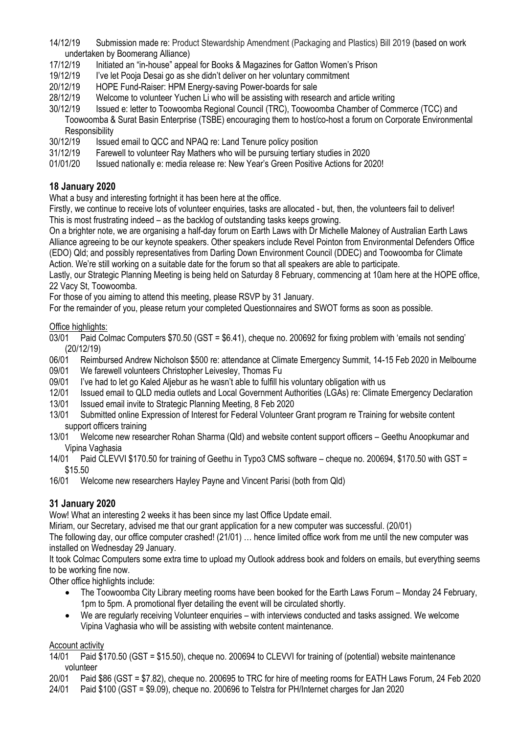- 14/12/19 Submission made re: Product Stewardship Amendment (Packaging and Plastics) Bill 2019 (based on work undertaken by Boomerang Alliance)
- 17/12/19 Initiated an "in-house" appeal for Books & Magazines for Gatton Women's Prison
- 19/12/19 I've let Pooja Desai go as she didn't deliver on her voluntary commitment
- 20/12/19 HOPE Fund-Raiser: HPM Energy-saving Power-boards for sale
- 28/12/19 Welcome to volunteer Yuchen Li who will be assisting with research and article writing
- 30/12/19 Issued e: letter to Toowoomba Regional Council (TRC), Toowoomba Chamber of Commerce (TCC) and Toowoomba & Surat Basin Enterprise (TSBE) encouraging them to host/co-host a forum on Corporate Environmental **Responsibility**
- 30/12/19 Issued email to QCC and NPAQ re: Land Tenure policy position
- 31/12/19 Farewell to volunteer Ray Mathers who will be pursuing tertiary studies in 2020
- 01/01/20 Issued nationally e: media release re: New Year's Green Positive Actions for 2020!

## **18 January 2020**

What a busy and interesting fortnight it has been here at the office.

Firstly, we continue to receive lots of volunteer enquiries, tasks are allocated - but, then, the volunteers fail to deliver! This is most frustrating indeed – as the backlog of outstanding tasks keeps growing.

On a brighter note, we are organising a half-day forum on Earth Laws with Dr Michelle Maloney of Australian Earth Laws Alliance agreeing to be our keynote speakers. Other speakers include Revel Pointon from Environmental Defenders Office (EDO) Qld; and possibly representatives from Darling Down Environment Council (DDEC) and Toowoomba for Climate Action. We're still working on a suitable date for the forum so that all speakers are able to participate.

Lastly, our Strategic Planning Meeting is being held on Saturday 8 February, commencing at 10am here at the HOPE office, 22 Vacy St, Toowoomba.

For those of you aiming to attend this meeting, please RSVP by 31 January.

For the remainder of you, please return your completed Questionnaires and SWOT forms as soon as possible.

Office highlights:

- 03/01 Paid Colmac Computers \$70.50 (GST = \$6.41), cheque no. 200692 for fixing problem with 'emails not sending' (20/12/19)
- 06/01 Reimbursed Andrew Nicholson \$500 re: attendance at Climate Emergency Summit, 14-15 Feb 2020 in Melbourne
- 09/01 We farewell volunteers Christopher Leivesley, Thomas Fu
- 09/01 I've had to let go Kaled Aljebur as he wasn't able to fulfill his voluntary obligation with us
- 12/01 Issued email to QLD media outlets and Local Government Authorities (LGAs) re: Climate Emergency Declaration
- 13/01 Issued email invite to Strategic Planning Meeting, 8 Feb 2020
- 13/01 Submitted online Expression of Interest for Federal Volunteer Grant program re Training for website content support officers training
- 13/01 Welcome new researcher Rohan Sharma (Qld) and website content support officers Geethu Anoopkumar and Vipina Vaghasia
- 14/01 Paid CLEVVI \$170.50 for training of Geethu in Typo3 CMS software cheque no. 200694, \$170.50 with GST = \$15.50
- 16/01 Welcome new researchers Hayley Payne and Vincent Parisi (both from Qld)

## **31 January 2020**

Wow! What an interesting 2 weeks it has been since my last Office Update email.

Miriam, our Secretary, advised me that our grant application for a new computer was successful. (20/01)

The following day, our office computer crashed! (21/01) … hence limited office work from me until the new computer was installed on Wednesday 29 January.

It took Colmac Computers some extra time to upload my Outlook address book and folders on emails, but everything seems to be working fine now.

Other office highlights include:

- The Toowoomba City Library meeting rooms have been booked for the Earth Laws Forum Monday 24 February, 1pm to 5pm. A promotional flyer detailing the event will be circulated shortly.
- We are regularly receiving Volunteer enquiries with interviews conducted and tasks assigned. We welcome Vipina Vaghasia who will be assisting with website content maintenance.

#### Account activity

- 14/01 Paid \$170.50 (GST = \$15.50), cheque no. 200694 to CLEVVI for training of (potential) website maintenance volunteer
- 20/01 Paid \$86 (GST = \$7.82), cheque no. 200695 to TRC for hire of meeting rooms for EATH Laws Forum, 24 Feb 2020
- 24/01 Paid \$100 (GST = \$9.09), cheque no. 200696 to Telstra for PH/Internet charges for Jan 2020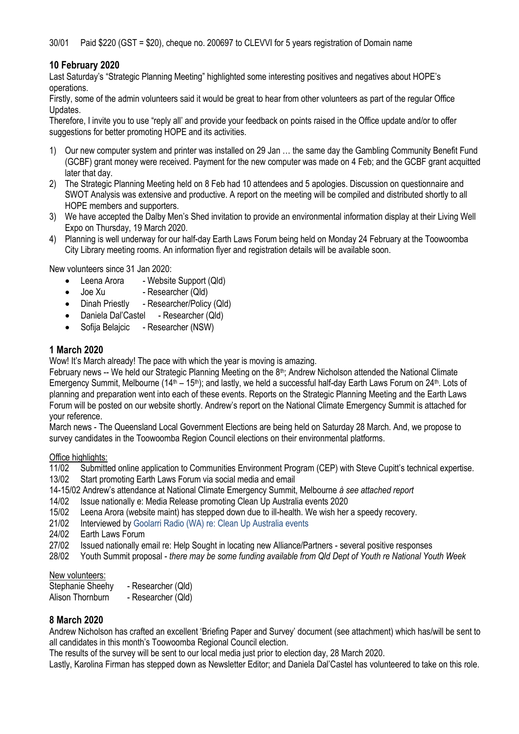## **10 February 2020**

Last Saturday's "Strategic Planning Meeting" highlighted some interesting positives and negatives about HOPE's operations.

Firstly, some of the admin volunteers said it would be great to hear from other volunteers as part of the regular Office Updates.

Therefore, I invite you to use "reply all' and provide your feedback on points raised in the Office update and/or to offer suggestions for better promoting HOPE and its activities.

- 1) Our new computer system and printer was installed on 29 Jan … the same day the Gambling Community Benefit Fund (GCBF) grant money were received. Payment for the new computer was made on 4 Feb; and the GCBF grant acquitted later that day.
- 2) The Strategic Planning Meeting held on 8 Feb had 10 attendees and 5 apologies. Discussion on questionnaire and SWOT Analysis was extensive and productive. A report on the meeting will be compiled and distributed shortly to all HOPE members and supporters.
- 3) We have accepted the Dalby Men's Shed invitation to provide an environmental information display at their Living Well Expo on Thursday, 19 March 2020.
- 4) Planning is well underway for our half-day Earth Laws Forum being held on Monday 24 February at the Toowoomba City Library meeting rooms. An information flyer and registration details will be available soon.

New volunteers since 31 Jan 2020:

- Leena Arora Website Support (Qld)
- Joe Xu Researcher (Qld)
- Dinah Priestly Researcher/Policy (Qld)
- Daniela Dal'Castel Researcher (Qld)
- Sofija Belajcic Researcher (NSW)

#### **1 March 2020**

Wow! It's March already! The pace with which the year is moving is amazing.

February news -- We held our Strategic Planning Meeting on the 8<sup>th</sup>; Andrew Nicholson attended the National Climate Emergency Summit, Melbourne (14<sup>th</sup> – 15<sup>th</sup>); and lastly, we held a successful half-day Earth Laws Forum on 24<sup>th</sup>. Lots of planning and preparation went into each of these events. Reports on the Strategic Planning Meeting and the Earth Laws Forum will be posted on our website shortly. Andrew's report on the National Climate Emergency Summit is attached for your reference.

March news - The Queensland Local Government Elections are being held on Saturday 28 March. And, we propose to survey candidates in the Toowoomba Region Council elections on their environmental platforms.

Office highlights:

11/02 Submitted online application to Communities Environment Program (CEP) with Steve Cupitt's technical expertise.

- 13/02 Start promoting Earth Laws Forum via social media and email
- 14-15/02 Andrew's attendance at National Climate Emergency Summit, Melbourne *à see attached report*
- 14/02 Issue nationally e: Media Release promoting Clean Up Australia events 2020
- 15/02 Leena Arora (website maint) has stepped down due to ill-health. We wish her a speedy recovery.
- 21/02 Interviewed by Goolarri Radio (WA) re: Clean Up Australia events
- 24/02 Earth Laws Forum
- 27/02 Issued nationally email re: Help Sought in locating new Alliance/Partners several positive responses
- 28/02 Youth Summit proposal *there may be some funding available from Qld Dept of Youth re National Youth Week*

# New volunteers:<br>Stephanie Sheehy

- Researcher (Qld)
- Alison Thornburn Researcher (Qld)

## **8 March 2020**

Andrew Nicholson has crafted an excellent 'Briefing Paper and Survey' document (see attachment) which has/will be sent to all candidates in this month's Toowoomba Regional Council election.

The results of the survey will be sent to our local media just prior to election day, 28 March 2020.

Lastly, Karolina Firman has stepped down as Newsletter Editor; and Daniela Dal'Castel has volunteered to take on this role.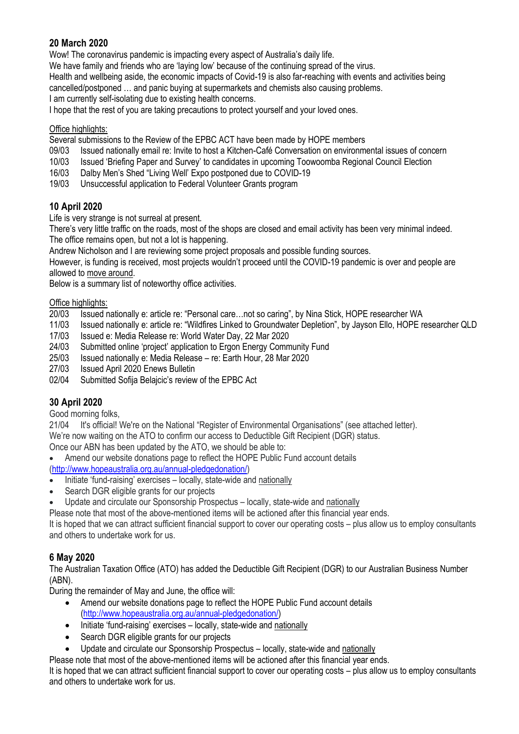## **20 March 2020**

Wow! The coronavirus pandemic is impacting every aspect of Australia's daily life.

We have family and friends who are 'laying low' because of the continuing spread of the virus.

Health and wellbeing aside, the economic impacts of Covid-19 is also far-reaching with events and activities being cancelled/postponed … and panic buying at supermarkets and chemists also causing problems.

I am currently self-isolating due to existing health concerns.

I hope that the rest of you are taking precautions to protect yourself and your loved ones.

## Office highlights:

Several submissions to the Review of the EPBC ACT have been made by HOPE members

- 09/03 Issued nationally email re: Invite to host a Kitchen-Café Conversation on environmental issues of concern
- 10/03 Issued 'Briefing Paper and Survey' to candidates in upcoming Toowoomba Regional Council Election
- 16/03 Dalby Men's Shed "Living Well' Expo postponed due to COVID-19
- 19/03 Unsuccessful application to Federal Volunteer Grants program

## **10 April 2020**

Life is very strange is not surreal at present.

There's very little traffic on the roads, most of the shops are closed and email activity has been very minimal indeed. The office remains open, but not a lot is happening.

Andrew Nicholson and I are reviewing some project proposals and possible funding sources.

However, is funding is received, most projects wouldn't proceed until the COVID-19 pandemic is over and people are allowed to move around.

Below is a summary list of noteworthy office activities.

# Office highlights:<br>20/03 Issued r

Issued nationally e: article re: "Personal care...not so caring", by Nina Stick, HOPE researcher WA

11/03 Issued nationally e: article re: "Wildfires Linked to Groundwater Depletion", by Jayson Ello, HOPE researcher QLD

- 17/03 Issued e: Media Release re: World Water Day, 22 Mar 2020
- 24/03 Submitted online 'project' application to Ergon Energy Community Fund
- 25/03 Issued nationally e: Media Release re: Earth Hour, 28 Mar 2020
- 27/03 Issued April 2020 Enews Bulletin
- 02/04 Submitted Sofija Belajcic's review of the EPBC Act

## **30 April 2020**

Good morning folks,

21/04 It's official! We're on the National "Register of Environmental Organisations" (see attached letter). We're now waiting on the ATO to confirm our access to Deductible Gift Recipient (DGR) status. Once our ABN has been updated by the ATO, we should be able to:

• Amend our website donations page to reflect the HOPE Public Fund account details

[\(http://www.hopeaustralia.org.au/annual-pledgedonation/\)](http://www.hopeaustralia.org.au/annual-pledgedonation/)

- Initiate 'fund-raising' exercises locally, state-wide and nationally
- Search DGR eligible grants for our projects

• Update and circulate our Sponsorship Prospectus – locally, state-wide and nationally

Please note that most of the above-mentioned items will be actioned after this financial year ends.

It is hoped that we can attract sufficient financial support to cover our operating costs – plus allow us to employ consultants and others to undertake work for us.

## **6 May 2020**

The Australian Taxation Office (ATO) has added the Deductible Gift Recipient (DGR) to our Australian Business Number (ABN).

During the remainder of May and June, the office will:

- Amend our website donations page to reflect the HOPE Public Fund account details [\(http://www.hopeaustralia.org.au/annual-pledgedonation/\)](http://www.hopeaustralia.org.au/annual-pledgedonation/)
- Initiate 'fund-raising' exercises locally, state-wide and nationally
- Search DGR eligible grants for our projects
- Update and circulate our Sponsorship Prospectus locally, state-wide and nationally

Please note that most of the above-mentioned items will be actioned after this financial year ends.

It is hoped that we can attract sufficient financial support to cover our operating costs – plus allow us to employ consultants and others to undertake work for us.